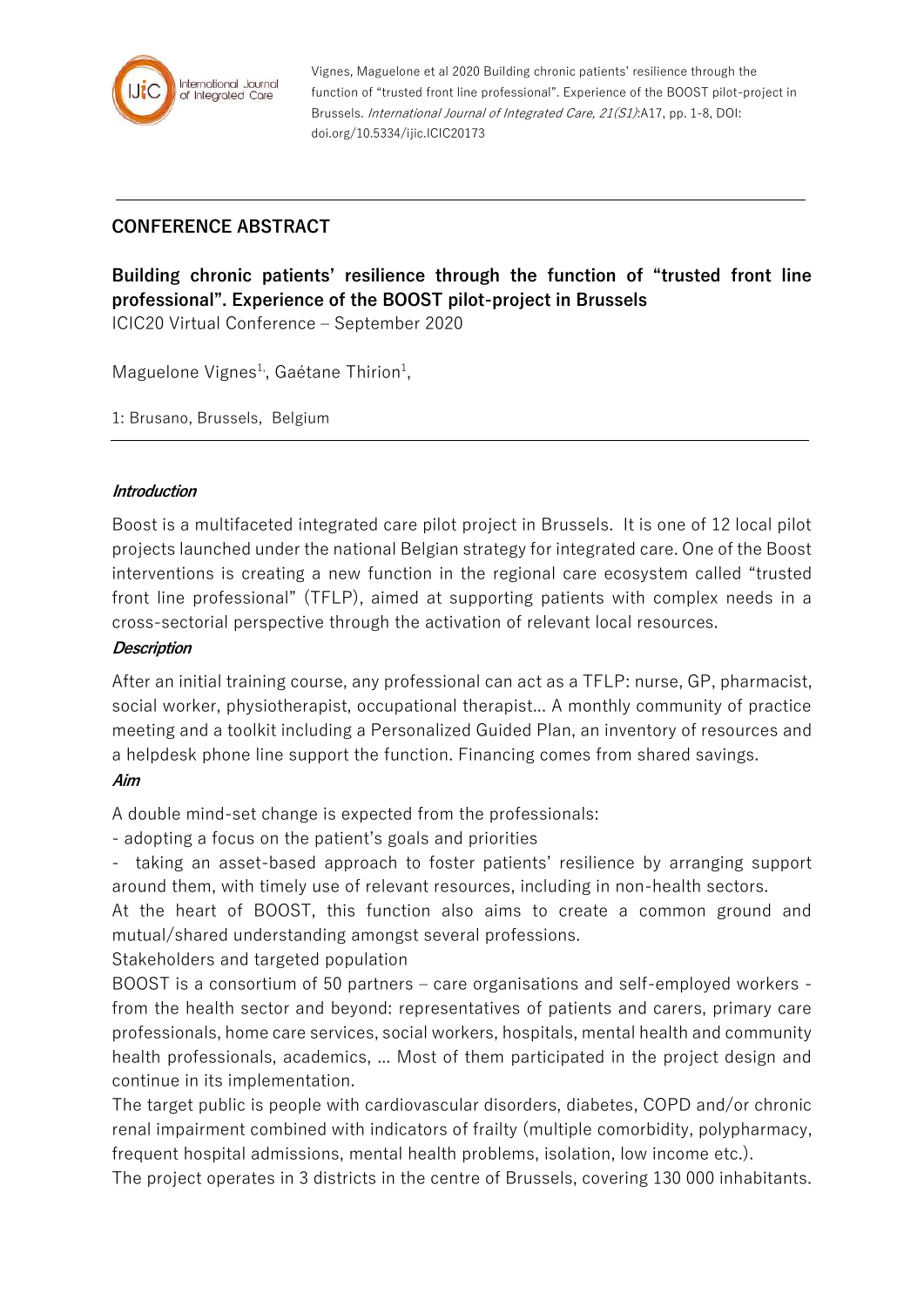

Vignes, Maguelone et al 2020 Building chronic patients' resilience through the function of "trusted front line professional". Experience of the BOOST pilot-project in Brussels. International Journal of Integrated Care, 21(S1):A17, pp. 1-8, DOI: doi.org/10.5334/ijic.ICIC20173

## **CONFERENCE ABSTRACT**

# **Building chronic patients' resilience through the function of "trusted front line professional". Experience of the BOOST pilot-project in Brussels**

ICIC20 Virtual Conference – September 2020

Maguelone Vignes<sup>1</sup>, Gaétane Thirion<sup>1</sup>,

1: Brusano, Brussels, Belgium

#### **Introduction**

Boost is a multifaceted integrated care pilot project in Brussels. It is one of 12 local pilot projects launched under the national Belgian strategy for integrated care. One of the Boost interventions is creating a new function in the regional care ecosystem called "trusted front line professional" (TFLP), aimed at supporting patients with complex needs in a cross-sectorial perspective through the activation of relevant local resources.

#### **Description**

After an initial training course, any professional can act as a TFLP: nurse, GP, pharmacist, social worker, physiotherapist, occupational therapist... A monthly community of practice meeting and a toolkit including a Personalized Guided Plan, an inventory of resources and a helpdesk phone line support the function. Financing comes from shared savings. **Aim**

A double mind-set change is expected from the professionals:

- adopting a focus on the patient's goals and priorities

- taking an asset-based approach to foster patients' resilience by arranging support around them, with timely use of relevant resources, including in non-health sectors.

At the heart of BOOST, this function also aims to create a common ground and mutual/shared understanding amongst several professions.

Stakeholders and targeted population

BOOST is a consortium of 50 partners – care organisations and self-employed workers from the health sector and beyond: representatives of patients and carers, primary care professionals, home care services, social workers, hospitals, mental health and community health professionals, academics, ... Most of them participated in the project design and continue in its implementation.

The target public is people with cardiovascular disorders, diabetes, COPD and/or chronic renal impairment combined with indicators of frailty (multiple comorbidity, polypharmacy, frequent hospital admissions, mental health problems, isolation, low income etc.).

The project operates in 3 districts in the centre of Brussels, covering 130 000 inhabitants.